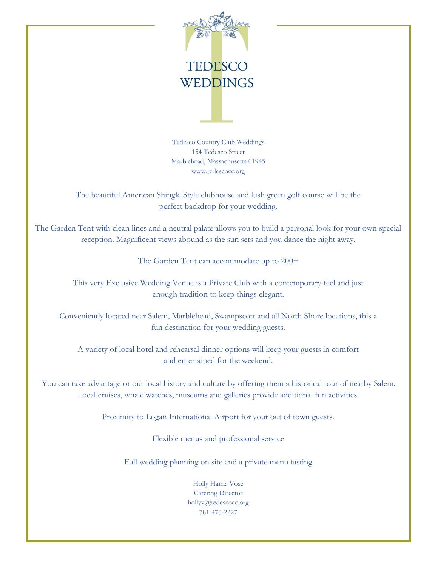

Tedesco Country Club Weddings 154 Tedesco Street Marblehead, Massachusetts 01945 www.tedescocc.org

The beautiful American Shingle Style clubhouse and lush green golf course will be the perfect backdrop for your wedding.

The Garden Tent with clean lines and a neutral palate allows you to build a personal look for your own special reception. Magnificent views abound as the sun sets and you dance the night away.

The Garden Tent can accommodate up to  $200+$ 

This very Exclusive Wedding Venue is a Private Club with a contemporary feel and just enough tradition to keep things elegant.

Conveniently located near Salem, Marblehead, Swampscott and all North Shore locations, this a fun destination for your wedding guests.

A variety of local hotel and rehearsal dinner options will keep your guests in comfort and entertained for the weekend.

You can take advantage or our local history and culture by offering them a historical tour of nearby Salem. Local cruises, whale watches, museums and galleries provide additional fun activities.

Proximity to Logan International Airport for your out of town guests.

Flexible menus and professional service

Full wedding planning on site and a private menu tasting

Holly Harris Vose Catering Director hollyv@tedescocc.org 781-476-2227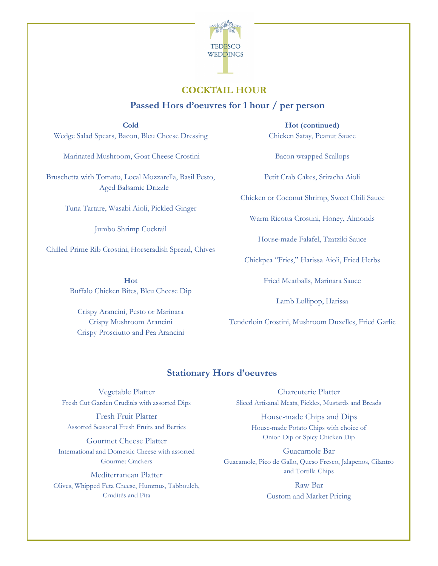

## **COCKTAIL HOUR**

### **Passed Hors d'oeuvres for 1 hour / per person**

**Cold** Wedge Salad Spears, Bacon, Bleu Cheese Dressing

Marinated Mushroom, Goat Cheese Crostini

Bruschetta with Tomato, Local Mozzarella, Basil Pesto, Aged Balsamic Drizzle

Tuna Tartare, Wasabi Aioli, Pickled Ginger

Jumbo Shrimp Cocktail

Chilled Prime Rib Crostini, Horseradish Spread, Chives

**Hot** Buffalo Chicken Bites, Bleu Cheese Dip

Crispy Arancini, Pesto or Marinara Crispy Mushroom Arancini Crispy Prosciutto and Pea Arancini

**Hot (continued)** Chicken Satay, Peanut Sauce

Bacon wrapped Scallops

Petit Crab Cakes, Sriracha Aioli

Chicken or Coconut Shrimp, Sweet Chili Sauce

Warm Ricotta Crostini, Honey, Almonds

House-made Falafel, Tzatziki Sauce

Chickpea "Fries," Harissa Aioli, Fried Herbs

Fried Meatballs, Marinara Sauce

Lamb Lollipop, Harissa

Tenderloin Crostini, Mushroom Duxelles, Fried Garlic

### **Stationary Hors d'oeuvres**

Vegetable Platter Fresh Cut Garden Crudités with assorted Dips

Fresh Fruit Platter Assorted Seasonal Fresh Fruits and Berries

Gourmet Cheese Platter International and Domestic Cheese with assorted Gourmet Crackers

Mediterranean Platter Olives, Whipped Feta Cheese, Hummus, Tabbouleh, Crudités and Pita

Charcuterie Platter Sliced Artisanal Meats, Pickles, Mustards and Breads

House-made Chips and Dips House-made Potato Chips with choice of Onion Dip or Spicy Chicken Dip

Guacamole Bar Guacamole, Pico de Gallo, Queso Fresco, Jalapenos, Cilantro and Tortilla Chips

> Raw Bar Custom and Market Pricing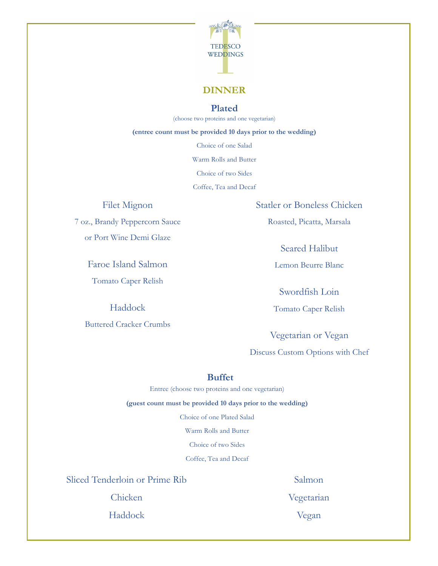

### **DINNER**

### **Plated**

(choose two proteins and one vegetarian)

**(entree count must be provided 10 days prior to the wedding)**

Choice of one Salad

Warm Rolls and Butter

Choice of two Sides

Coffee, Tea and Decaf

### Filet Mignon

7 oz., Brandy Peppercorn Sauce or Port Wine Demi Glaze

> Faroe Island Salmon Tomato Caper Relish

> > Haddock

Buttered Cracker Crumbs

Statler or Boneless Chicken

Roasted, Picatta, Marsala

Seared Halibut

Lemon Beurre Blanc

Swordfish Loin

Tomato Caper Relish

Vegetarian or Vegan

Discuss Custom Options with Chef

#### **Buffet**

Entree (choose two proteins and one vegetarian)

**(guest count must be provided 10 days prior to the wedding)**

Choice of one Plated Salad

Warm Rolls and Butter

Choice of two Sides

Coffee, Tea and Decaf

Sliced Tenderloin or Prime Rib

Chicken

Haddock

Salmon Vegetarian

Vegan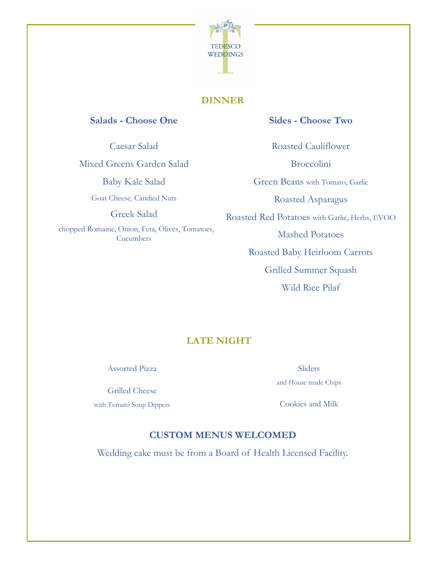

## **DINNER**

### **Salads - Choose One**

Caesar Salad

Mixed Greens Garden Salad

Baby Kale Salad

Goat Cheese, Candied Nuts

Greek Salad

 chopped Romaine, Onion, Feta, Olives, Tomatoes, **Cucumbers** 

## **Sides - Choose Two**

Roasted Cauliflower

Broccolini

Green Beans with Tomato, Garlic

Roasted Asparagus

Roasted Red Potatoes with Garlic, Herbs, EVOO

Mashed Potatoes

Roasted Baby Heirloom Carrots

Grilled Summer Squash

Wild Rice Pilaf

# **LATE NIGHT**

Assorted Pizza

Grilled Cheese

with Tomato Soup Dippers

Sliders and House made Chips

Cookies and Milk

## **CUSTOM MENUS WELCOMED**

Wedding cake must be from a Board of Health Licensed Facility.